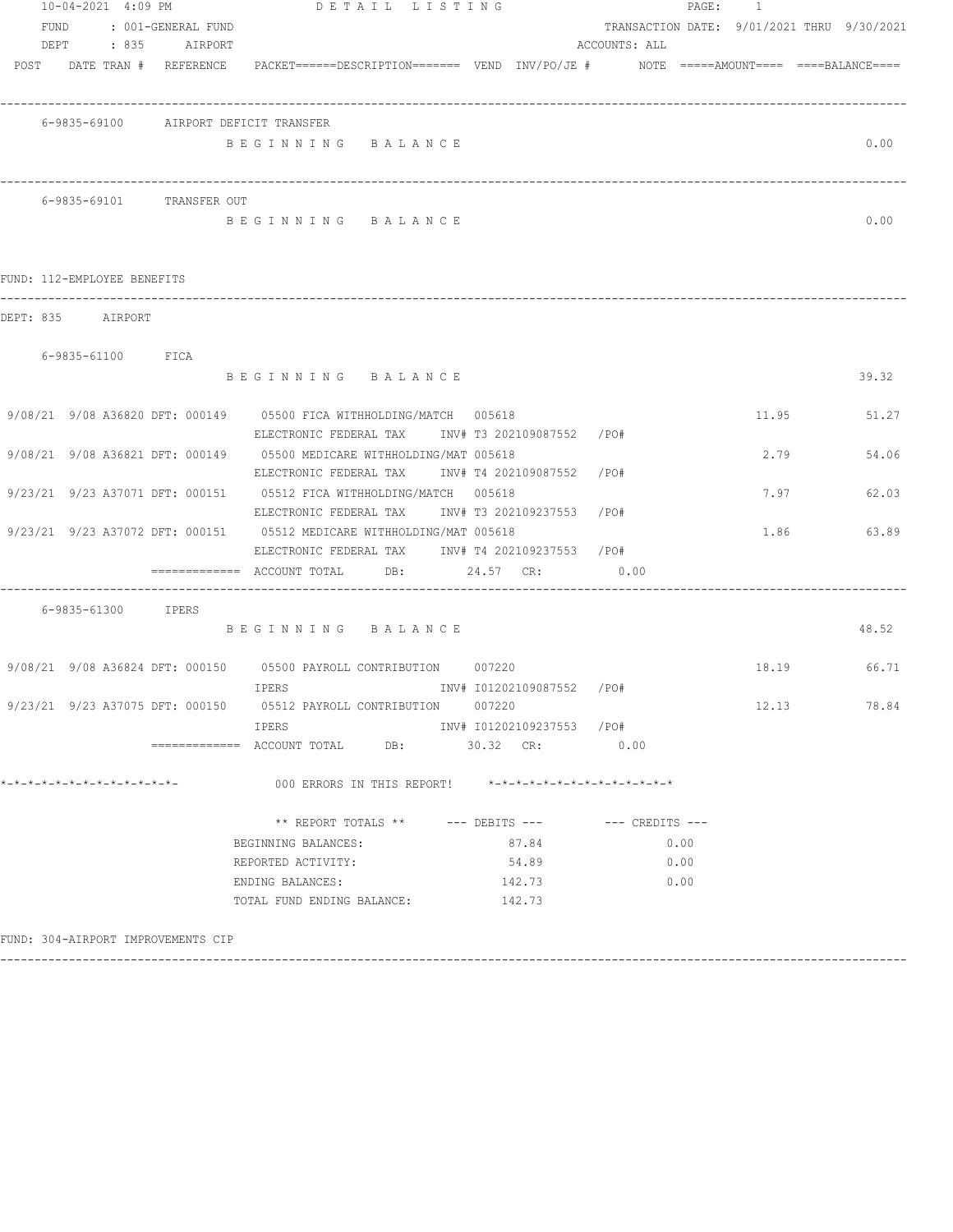|      | 10-04-2021 4:09 PM           |                                          |                                                                                                                           | DETAIL LISTING |  |                           |                 | PAGE: 1 |                                            |      |             |
|------|------------------------------|------------------------------------------|---------------------------------------------------------------------------------------------------------------------------|----------------|--|---------------------------|-----------------|---------|--------------------------------------------|------|-------------|
| FUND |                              | : 001-GENERAL FUND<br>DEPT : 835 AIRPORT |                                                                                                                           |                |  |                           | ACCOUNTS: ALL   |         | TRANSACTION DATE: 9/01/2021 THRU 9/30/2021 |      |             |
|      |                              |                                          | POST DATE TRAN # REFERENCE PACKET======DESCRIPTION======= VEND INV/PO/JE # NOTE =====AMOUNT==== ====BALANCE====           |                |  |                           |                 |         |                                            |      |             |
|      |                              |                                          | 6-9835-69100 AIRPORT DEFICIT TRANSFER                                                                                     |                |  |                           |                 |         |                                            |      |             |
|      |                              |                                          | BEGINNING BALANCE                                                                                                         |                |  |                           |                 |         |                                            |      | 0.00        |
|      |                              | 6-9835-69101 TRANSFER OUT                |                                                                                                                           |                |  |                           |                 |         |                                            |      |             |
|      |                              |                                          | BEGINNING BALANCE                                                                                                         |                |  |                           |                 |         |                                            |      | 0.00        |
|      | FUND: 112-EMPLOYEE BENEFITS  |                                          |                                                                                                                           |                |  |                           |                 |         |                                            |      |             |
|      | DEPT: 835 AIRPORT            |                                          |                                                                                                                           |                |  |                           |                 |         |                                            |      |             |
|      | 6-9835-61100 FICA            |                                          | BEGINNING BALANCE                                                                                                         |                |  |                           |                 |         |                                            |      | 39.32       |
|      |                              |                                          |                                                                                                                           |                |  |                           |                 |         |                                            |      |             |
|      |                              |                                          | 9/08/21 9/08 A36820 DFT: 000149 05500 FICA WITHHOLDING/MATCH 005618<br>ELECTRONIC FEDERAL TAX INV# T3 202109087552 /PO#   |                |  |                           |                 |         | 11.95                                      |      | 51.27       |
|      |                              |                                          | 9/08/21 9/08 A36821 DFT: 000149 05500 MEDICARE WITHHOLDING/MAT 005618<br>ELECTRONIC FEDERAL TAX 1NV# T4 202109087552 /PO# |                |  |                           |                 |         |                                            | 2.79 | 54.06       |
|      |                              |                                          | 9/23/21 9/23 A37071 DFT: 000151 05512 FICA WITHHOLDING/MATCH 005618<br>ELECTRONIC FEDERAL TAX 1NV# T3 202109237553 /PO#   |                |  |                           |                 |         |                                            | 7.97 | 62.03       |
|      |                              |                                          | 9/23/21 9/23 A37072 DFT: 000151 05512 MEDICARE WITHHOLDING/MAT 005618<br>ELECTRONIC FEDERAL TAX INV# T4 202109237553 /PO# |                |  |                           |                 |         |                                            |      | 1.86 63.89  |
|      |                              |                                          | ============= ACCOUNT TOTAL DB: 24.57 CR: 0.00                                                                            |                |  |                           |                 |         |                                            |      |             |
|      | 6-9835-61300 IPERS           |                                          |                                                                                                                           |                |  |                           |                 |         |                                            |      |             |
|      |                              |                                          | BEGINNING BALANCE                                                                                                         |                |  |                           |                 |         |                                            |      | 48.52       |
|      |                              |                                          | 9/08/21 9/08 A36824 DFT: 000150 05500 PAYROLL CONTRIBUTION 007220                                                         |                |  |                           |                 |         |                                            |      | 18.19 66.71 |
|      |                              |                                          | 9/23/21 9/23 A37075 DFT: 000150 05512 PAYROLL CONTRIBUTION 007220                                                         |                |  |                           |                 |         | 12.13                                      |      | 78.84       |
|      |                              |                                          | IPERS<br>============ ACCOUNT TOTAL DB: 30.32 CR: 0.00                                                                    |                |  | INV# I01202109237553 /PO# |                 |         |                                            |      |             |
|      | *-*-*-*-*-*-*-*-*-*-*-*-*-*- |                                          | 000 ERRORS IN THIS REPORT! *-*-*-*-*-*-*-*-*-*-*-*-*-*-                                                                   |                |  |                           |                 |         |                                            |      |             |
|      |                              |                                          | ** REPORT TOTALS ** $---$ DEBITS $---$                                                                                    |                |  |                           | --- CREDITS --- |         |                                            |      |             |
|      |                              |                                          | BEGINNING BALANCES:                                                                                                       |                |  | 87.84                     |                 | 0.00    |                                            |      |             |
|      |                              |                                          | REPORTED ACTIVITY:                                                                                                        |                |  | 54.89                     | 0.00            |         |                                            |      |             |
|      |                              |                                          | ENDING BALANCES:<br>TOTAL FUND ENDING BALANCE: 142.73                                                                     |                |  | 142.73                    | 0.00            |         |                                            |      |             |
|      |                              | FUND: 304-AIRPORT IMPROVEMENTS CIP       |                                                                                                                           |                |  |                           |                 |         |                                            |      |             |

------------------------------------------------------------------------------------------------------------------------------------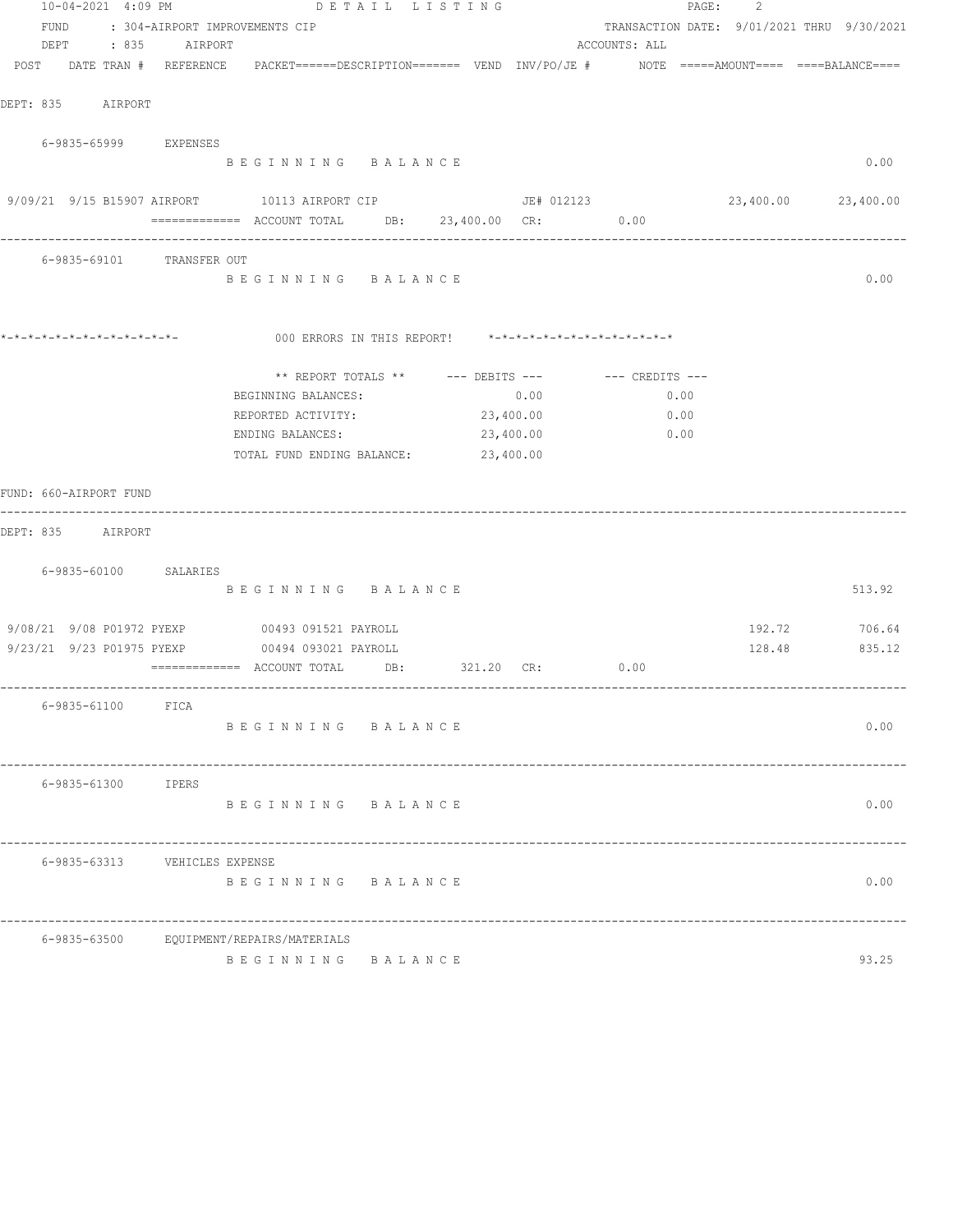|                                                                                                                 |                                | 10-04-2021 4:09 PM DETAIL LISTING                      |         |           |               |      | PAGE:<br>-2                                |                     |
|-----------------------------------------------------------------------------------------------------------------|--------------------------------|--------------------------------------------------------|---------|-----------|---------------|------|--------------------------------------------|---------------------|
| FUND                                                                                                            | : 304-AIRPORT IMPROVEMENTS CIP |                                                        |         |           |               |      | TRANSACTION DATE: 9/01/2021 THRU 9/30/2021 |                     |
| DEPT : 835 AIRPORT                                                                                              |                                |                                                        |         |           | ACCOUNTS: ALL |      |                                            |                     |
| POST DATE TRAN # REFERENCE PACKET======DESCRIPTION======= VEND INV/PO/JE # NOTE =====AMOUNT==== ====BALANCE==== |                                |                                                        |         |           |               |      |                                            |                     |
|                                                                                                                 |                                |                                                        |         |           |               |      |                                            |                     |
| DEPT: 835 AIRPORT                                                                                               |                                |                                                        |         |           |               |      |                                            |                     |
| 6-9835-65999 EXPENSES                                                                                           |                                |                                                        |         |           |               |      |                                            |                     |
|                                                                                                                 |                                | BEGINNING BALANCE                                      |         |           |               |      |                                            | 0.00                |
|                                                                                                                 |                                |                                                        |         |           |               |      |                                            |                     |
| 9/09/21 9/15 B15907 AIRPORT 10113 AIRPORT CIP JE# 012123                                                        |                                |                                                        |         |           |               |      |                                            | 23,400.00 23,400.00 |
|                                                                                                                 |                                | ============= ACCOUNT TOTAL DB: 23,400.00 CR: 0.00     |         |           |               |      |                                            |                     |
| 6-9835-69101 TRANSFER OUT                                                                                       |                                |                                                        |         |           |               |      |                                            |                     |
|                                                                                                                 |                                | BEGINNING BALANCE                                      |         |           |               |      |                                            | 0.00                |
|                                                                                                                 |                                |                                                        |         |           |               |      |                                            |                     |
|                                                                                                                 |                                |                                                        |         |           |               |      |                                            |                     |
|                                                                                                                 |                                |                                                        |         |           |               |      |                                            |                     |
|                                                                                                                 |                                | ** REPORT TOTALS ** $---$ DEBITS --- $---$ CREDITS --- |         |           |               |      |                                            |                     |
|                                                                                                                 |                                | BEGINNING BALANCES:                                    |         |           | 0.00          | 0.00 |                                            |                     |
|                                                                                                                 |                                | REPORTED ACTIVITY:                                     |         | 23,400.00 |               | 0.00 |                                            |                     |
|                                                                                                                 |                                | ENDING BALANCES:                                       |         | 23,400.00 |               | 0.00 |                                            |                     |
|                                                                                                                 |                                | TOTAL FUND ENDING BALANCE: 23,400.00                   |         |           |               |      |                                            |                     |
|                                                                                                                 |                                |                                                        |         |           |               |      |                                            |                     |
| FUND: 660-AIRPORT FUND                                                                                          |                                |                                                        |         |           |               |      |                                            |                     |
| DEPT: 835 AIRPORT                                                                                               |                                |                                                        |         |           |               |      |                                            |                     |
|                                                                                                                 |                                |                                                        |         |           |               |      |                                            |                     |
| 6-9835-60100 SALARIES                                                                                           |                                |                                                        |         |           |               |      |                                            |                     |
|                                                                                                                 |                                | BEGINNING BALANCE                                      |         |           |               |      |                                            | 513.92              |
|                                                                                                                 |                                |                                                        |         |           |               |      |                                            |                     |
| 9/08/21 9/08 P01972 PYEXP 00493 091521 PAYROLL                                                                  |                                |                                                        |         |           |               |      |                                            | 192.72 706.64       |
| 9/23/21 9/23 P01975 PYEXP 00494 093021 PAYROLL                                                                  |                                | ============= ACCOUNT TOTAL DB: 321.20 CR: 0.00        |         |           |               |      |                                            | 128.48 835.12       |
|                                                                                                                 |                                |                                                        |         |           |               |      |                                            |                     |
| 6-9835-61100                                                                                                    | FICA                           |                                                        |         |           |               |      |                                            |                     |
|                                                                                                                 |                                | BEGINNING BALANCE                                      |         |           |               |      |                                            | 0.00                |
|                                                                                                                 |                                |                                                        |         |           |               |      |                                            |                     |
|                                                                                                                 |                                |                                                        |         |           |               |      |                                            |                     |
| 6-9835-61300                                                                                                    | IPERS                          | BEGINNING BALANCE                                      |         |           |               |      |                                            | 0.00                |
|                                                                                                                 |                                |                                                        |         |           |               |      |                                            |                     |
|                                                                                                                 |                                |                                                        |         |           |               |      |                                            |                     |
| 6-9835-63313                                                                                                    | VEHICLES EXPENSE               |                                                        |         |           |               |      |                                            |                     |
|                                                                                                                 |                                | BEGINNING BALANCE                                      |         |           |               |      |                                            | 0.00                |
|                                                                                                                 |                                |                                                        |         |           |               |      |                                            |                     |
| 6-9835-63500                                                                                                    |                                | EQUIPMENT/REPAIRS/MATERIALS                            |         |           |               |      |                                            |                     |
|                                                                                                                 |                                | BEGINNING                                              | BALANCE |           |               |      |                                            | 93.25               |
|                                                                                                                 |                                |                                                        |         |           |               |      |                                            |                     |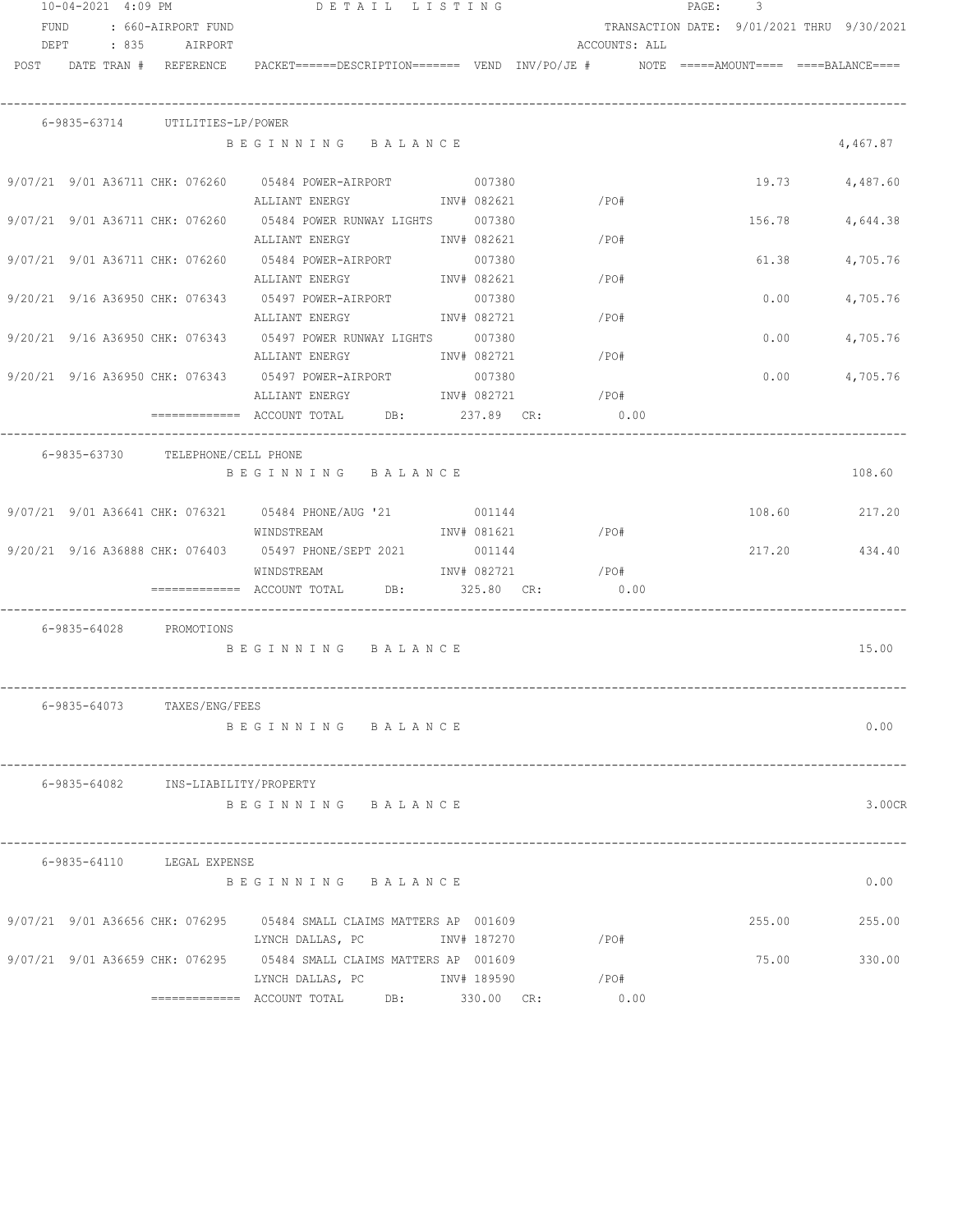|      | 10-04-2021 4:09 PM |                                     | DETAIL LISTING                                                                                                                                                                                                                                                                                                                                                                                                                                                                                                                                 |             |               | PAGE: | 3      |                                            |
|------|--------------------|-------------------------------------|------------------------------------------------------------------------------------------------------------------------------------------------------------------------------------------------------------------------------------------------------------------------------------------------------------------------------------------------------------------------------------------------------------------------------------------------------------------------------------------------------------------------------------------------|-------------|---------------|-------|--------|--------------------------------------------|
| FUND |                    | : 660-AIRPORT FUND                  |                                                                                                                                                                                                                                                                                                                                                                                                                                                                                                                                                |             |               |       |        | TRANSACTION DATE: 9/01/2021 THRU 9/30/2021 |
|      |                    | DEPT : 835 AIRPORT                  |                                                                                                                                                                                                                                                                                                                                                                                                                                                                                                                                                |             | ACCOUNTS: ALL |       |        |                                            |
|      |                    |                                     | POST DATE TRAN # REFERENCE PACKET======DESCRIPTION======= VEND INV/PO/JE # NOTE =====AMOUNT==== ===BALANCE====                                                                                                                                                                                                                                                                                                                                                                                                                                 |             |               |       |        |                                            |
|      |                    | 6-9835-63714 UTILITIES-LP/POWER     |                                                                                                                                                                                                                                                                                                                                                                                                                                                                                                                                                |             |               |       |        |                                            |
|      |                    |                                     | BEGINNING BALANCE                                                                                                                                                                                                                                                                                                                                                                                                                                                                                                                              |             |               |       |        | 4,467.87                                   |
|      |                    |                                     | 9/07/21 9/01 A36711 CHK: 076260 05484 POWER-AIRPORT 007380                                                                                                                                                                                                                                                                                                                                                                                                                                                                                     |             |               |       |        | 19.73 4,487.60                             |
|      |                    |                                     | ALLIANT ENERGY MONTH 082621                                                                                                                                                                                                                                                                                                                                                                                                                                                                                                                    |             | $\angle$ PO#  |       |        |                                            |
|      |                    |                                     | 9/07/21 9/01 A36711 CHK: 076260 05484 POWER RUNWAY LIGHTS 007380                                                                                                                                                                                                                                                                                                                                                                                                                                                                               |             |               |       | 156.78 | 4,644.38                                   |
|      |                    |                                     | ALLIANT ENERGY                                                                                                                                                                                                                                                                                                                                                                                                                                                                                                                                 | INV# 082621 | /PO#          |       |        |                                            |
|      |                    |                                     | 9/07/21 9/01 A36711 CHK: 076260 05484 POWER-AIRPORT                                                                                                                                                                                                                                                                                                                                                                                                                                                                                            | 007380      |               |       | 61.38  | 4,705.76                                   |
|      |                    |                                     | ALLIANT ENERGY                                                                                                                                                                                                                                                                                                                                                                                                                                                                                                                                 | INV# 082621 | /PO#          |       |        |                                            |
|      |                    |                                     | 9/20/21 9/16 A36950 CHK: 076343 05497 POWER-AIRPORT                                                                                                                                                                                                                                                                                                                                                                                                                                                                                            | 007380      |               |       | 0.00   | 4,705.76                                   |
|      |                    |                                     | ALLIANT ENERGY                                                                                                                                                                                                                                                                                                                                                                                                                                                                                                                                 | INV# 082721 | /PO#          |       |        |                                            |
|      |                    |                                     | 9/20/21 9/16 A36950 CHK: 076343 05497 POWER RUNWAY LIGHTS 007380                                                                                                                                                                                                                                                                                                                                                                                                                                                                               |             |               |       | 0.00   | 4,705.76                                   |
|      |                    |                                     | ALLIANT ENERGY                                                                                                                                                                                                                                                                                                                                                                                                                                                                                                                                 | INV# 082721 | /PO#          |       |        |                                            |
|      |                    |                                     | 9/20/21 9/16 A36950 CHK: 076343 05497 POWER-AIRPORT                                                                                                                                                                                                                                                                                                                                                                                                                                                                                            | 007380      |               |       | 0.00   | 4,705.76                                   |
|      |                    |                                     | ALLIANT ENERGY MINV# 082721                                                                                                                                                                                                                                                                                                                                                                                                                                                                                                                    |             | $/$ PO#       |       |        |                                            |
|      |                    |                                     | ============ ACCOUNT TOTAL DB: 237.89 CR: 0.00                                                                                                                                                                                                                                                                                                                                                                                                                                                                                                 |             |               |       |        |                                            |
|      |                    | 6-9835-63730 TELEPHONE/CELL PHONE   | ----------------------------------                                                                                                                                                                                                                                                                                                                                                                                                                                                                                                             |             |               |       |        |                                            |
|      |                    |                                     | BEGINNING BALANCE                                                                                                                                                                                                                                                                                                                                                                                                                                                                                                                              |             |               |       |        | 108.60                                     |
|      |                    |                                     |                                                                                                                                                                                                                                                                                                                                                                                                                                                                                                                                                |             |               |       |        |                                            |
|      |                    |                                     | 9/07/21 9/01 A36641 CHK: 076321 05484 PHONE/AUG '21 001144                                                                                                                                                                                                                                                                                                                                                                                                                                                                                     |             |               |       |        | 108.60 217.20                              |
|      |                    |                                     | WINDSTREAM                                                                                                                                                                                                                                                                                                                                                                                                                                                                                                                                     | INV# 081621 | $/$ PO#       |       |        |                                            |
|      |                    |                                     | 9/20/21 9/16 A36888 CHK: 076403 05497 PHONE/SEPT 2021                                                                                                                                                                                                                                                                                                                                                                                                                                                                                          | 001144      |               |       | 217.20 | 434.40                                     |
|      |                    |                                     | WINDSTREAM                                                                                                                                                                                                                                                                                                                                                                                                                                                                                                                                     | INV# 082721 | /PO#          |       |        |                                            |
|      |                    |                                     | $\qquad \qquad \overline{\text{{}}}\xspace = \text{{}}\xspace = \text{{}}\xspace = \text{{}}\xspace = \text{{}}\xspace = \text{{}}\xspace = \text{{}}\xspace = \text{{}}\xspace = \text{{}}\xspace = \text{{}}\xspace = \text{{}}\xspace = \text{{}}\xspace = \text{{}}\xspace = \text{{}}\xspace = \text{{}}\xspace = \text{{}}\xspace = \text{{}}\xspace = \text{{}}\xspace = \text{{}}\xspace = \text{{}}\xspace = \text{{}}\xspace = \text{{}}\xspace = \text{{}}\xspace = \text{{}}\xspace = \text{{}}\xspace = \text{{}}\xspace = \text$ | 325.80 CR:  | 0.00          |       |        |                                            |
|      |                    |                                     |                                                                                                                                                                                                                                                                                                                                                                                                                                                                                                                                                |             |               |       |        |                                            |
|      |                    | 6-9835-64028 PROMOTIONS             |                                                                                                                                                                                                                                                                                                                                                                                                                                                                                                                                                |             |               |       |        |                                            |
|      |                    |                                     | BEGINNING BALANCE                                                                                                                                                                                                                                                                                                                                                                                                                                                                                                                              |             |               |       |        | 15.00                                      |
|      |                    |                                     |                                                                                                                                                                                                                                                                                                                                                                                                                                                                                                                                                |             |               |       |        |                                            |
|      |                    |                                     |                                                                                                                                                                                                                                                                                                                                                                                                                                                                                                                                                |             |               |       |        |                                            |
|      |                    | 6-9835-64073 TAXES/ENG/FEES         |                                                                                                                                                                                                                                                                                                                                                                                                                                                                                                                                                |             |               |       |        |                                            |
|      |                    |                                     | BEGINNING BALANCE                                                                                                                                                                                                                                                                                                                                                                                                                                                                                                                              |             |               |       |        | 0.00                                       |
|      |                    |                                     |                                                                                                                                                                                                                                                                                                                                                                                                                                                                                                                                                |             |               |       |        |                                            |
|      |                    | 6-9835-64082 INS-LIABILITY/PROPERTY |                                                                                                                                                                                                                                                                                                                                                                                                                                                                                                                                                |             |               |       |        |                                            |
|      |                    |                                     | BEGINNING BALANCE                                                                                                                                                                                                                                                                                                                                                                                                                                                                                                                              |             |               |       |        | 3.00CR                                     |
|      |                    |                                     |                                                                                                                                                                                                                                                                                                                                                                                                                                                                                                                                                |             |               |       |        |                                            |
|      |                    | 6-9835-64110 LEGAL EXPENSE          |                                                                                                                                                                                                                                                                                                                                                                                                                                                                                                                                                |             |               |       |        |                                            |
|      |                    |                                     | BEGINNING BALANCE                                                                                                                                                                                                                                                                                                                                                                                                                                                                                                                              |             |               |       |        | 0.00                                       |
|      |                    |                                     |                                                                                                                                                                                                                                                                                                                                                                                                                                                                                                                                                |             |               |       |        |                                            |
|      |                    |                                     | 9/07/21 9/01 A36656 CHK: 076295 05484 SMALL CLAIMS MATTERS AP 001609                                                                                                                                                                                                                                                                                                                                                                                                                                                                           |             |               |       | 255.00 | 255.00                                     |
|      |                    |                                     | LYNCH DALLAS, PC                                                                                                                                                                                                                                                                                                                                                                                                                                                                                                                               | INV# 187270 | /PO#          |       |        |                                            |
|      |                    | 9/07/21 9/01 A36659 CHK: 076295     | 05484 SMALL CLAIMS MATTERS AP 001609                                                                                                                                                                                                                                                                                                                                                                                                                                                                                                           |             |               |       | 75.00  | 330.00                                     |
|      |                    |                                     | LYNCH DALLAS, PC                                                                                                                                                                                                                                                                                                                                                                                                                                                                                                                               | INV# 189590 | /PO#          |       |        |                                            |
|      |                    |                                     | ------------- ACCOUNT TOTAL DB: 330.00 CR:                                                                                                                                                                                                                                                                                                                                                                                                                                                                                                     |             | 0.00          |       |        |                                            |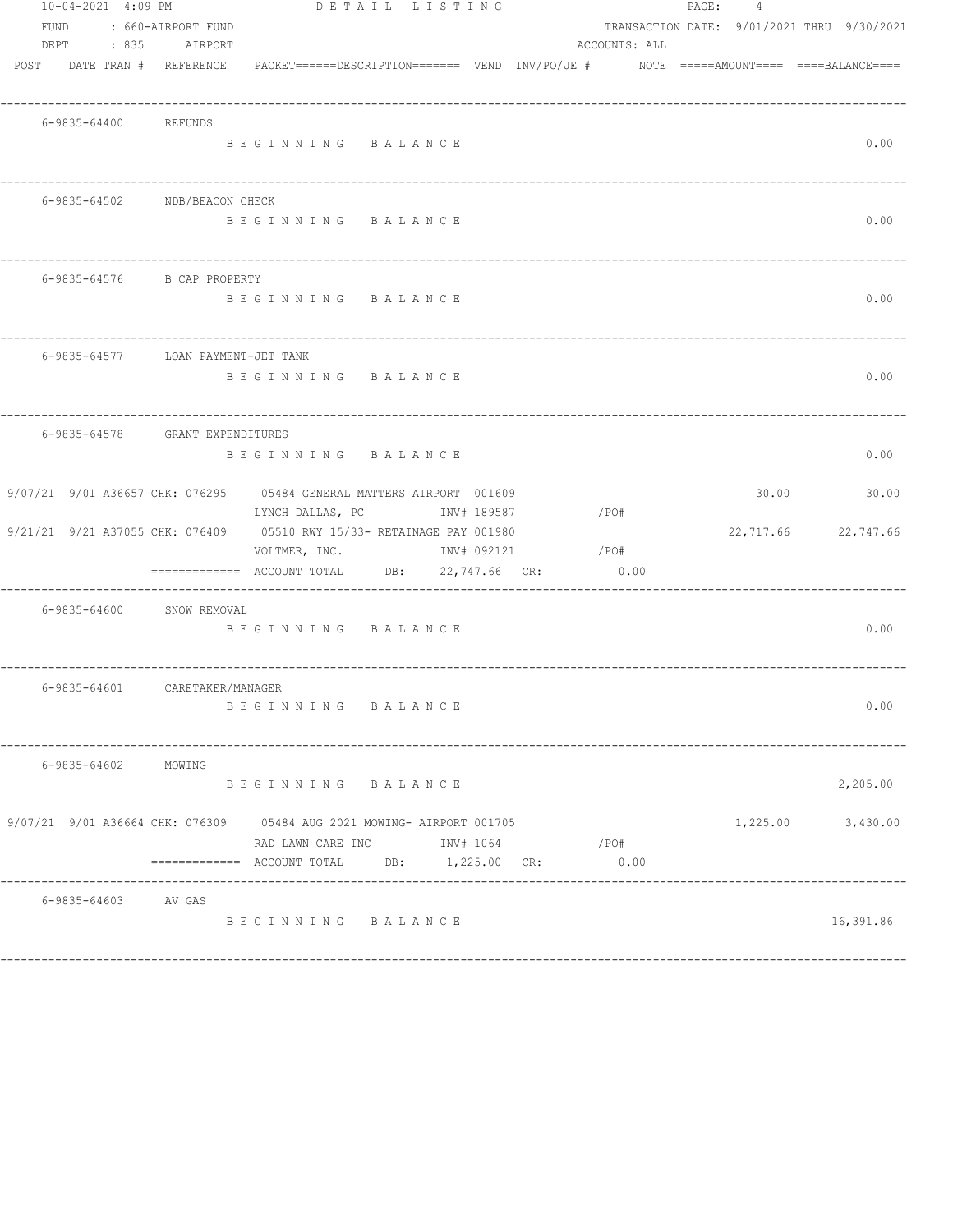|      | 10-04-2021 4:09 PM |                                    |                                                                                                                                                                                                                                                                                                                                                                                                        | DETAIL LISTING |  |               | PAGE: 4 |                                            |           |
|------|--------------------|------------------------------------|--------------------------------------------------------------------------------------------------------------------------------------------------------------------------------------------------------------------------------------------------------------------------------------------------------------------------------------------------------------------------------------------------------|----------------|--|---------------|---------|--------------------------------------------|-----------|
| FUND |                    | : 660-AIRPORT FUND                 |                                                                                                                                                                                                                                                                                                                                                                                                        |                |  |               |         | TRANSACTION DATE: 9/01/2021 THRU 9/30/2021 |           |
|      | DEPT : 835         | AIRPORT                            |                                                                                                                                                                                                                                                                                                                                                                                                        |                |  | ACCOUNTS: ALL |         |                                            |           |
|      |                    | POST DATE TRAN # REFERENCE         | $\verb PACKET----- DESCRIPTION-----  = \verb P -----  VEND   INV/PO/JE  #   NOTE   == \verb P  = \verb P /ANDT-----  P. BID.   V  / P.   V  / P.   V  / P.   V  / P.   V  / P.   V  / P.   V  / P.   V  / P.   V  / P.   V  / P.   V  / P.   V  / P.   V  / P.   V  / P.   V  / P.   V  / P.   V  / P.   V  / P.   V  / P.   V  / P.   V  / P.   V  / P.   V  / P.   V  / P.   V  / P.   V  / P.   V $ |                |  |               |         |                                            |           |
|      |                    |                                    |                                                                                                                                                                                                                                                                                                                                                                                                        |                |  |               |         |                                            |           |
|      |                    |                                    |                                                                                                                                                                                                                                                                                                                                                                                                        |                |  |               |         |                                            |           |
|      |                    | 6-9835-64400 REFUNDS               |                                                                                                                                                                                                                                                                                                                                                                                                        |                |  |               |         |                                            |           |
|      |                    |                                    | BEGINNING BALANCE                                                                                                                                                                                                                                                                                                                                                                                      |                |  |               |         |                                            | 0.00      |
|      |                    |                                    |                                                                                                                                                                                                                                                                                                                                                                                                        |                |  |               |         |                                            |           |
|      |                    |                                    |                                                                                                                                                                                                                                                                                                                                                                                                        |                |  |               |         |                                            |           |
|      |                    | 6-9835-64502 NDB/BEACON CHECK      |                                                                                                                                                                                                                                                                                                                                                                                                        |                |  |               |         |                                            |           |
|      |                    |                                    | BEGINNING BALANCE                                                                                                                                                                                                                                                                                                                                                                                      |                |  |               |         |                                            | 0.00      |
|      |                    |                                    |                                                                                                                                                                                                                                                                                                                                                                                                        |                |  |               |         |                                            |           |
|      |                    |                                    |                                                                                                                                                                                                                                                                                                                                                                                                        |                |  |               |         |                                            |           |
|      |                    | 6-9835-64576 B CAP PROPERTY        |                                                                                                                                                                                                                                                                                                                                                                                                        |                |  |               |         |                                            |           |
|      |                    |                                    | BEGINNING BALANCE                                                                                                                                                                                                                                                                                                                                                                                      |                |  |               |         |                                            | 0.00      |
|      |                    |                                    |                                                                                                                                                                                                                                                                                                                                                                                                        |                |  |               |         |                                            |           |
|      |                    |                                    |                                                                                                                                                                                                                                                                                                                                                                                                        |                |  |               |         |                                            |           |
|      |                    | 6-9835-64577 LOAN PAYMENT-JET TANK |                                                                                                                                                                                                                                                                                                                                                                                                        |                |  |               |         |                                            |           |
|      |                    |                                    |                                                                                                                                                                                                                                                                                                                                                                                                        |                |  |               |         |                                            |           |
|      |                    |                                    | BEGINNING BALANCE                                                                                                                                                                                                                                                                                                                                                                                      |                |  |               |         |                                            | 0.00      |
|      |                    |                                    |                                                                                                                                                                                                                                                                                                                                                                                                        |                |  |               |         |                                            |           |
|      |                    |                                    |                                                                                                                                                                                                                                                                                                                                                                                                        |                |  |               |         |                                            |           |
|      |                    | 6-9835-64578 GRANT EXPENDITURES    |                                                                                                                                                                                                                                                                                                                                                                                                        |                |  |               |         |                                            |           |
|      |                    |                                    | BEGINNING BALANCE                                                                                                                                                                                                                                                                                                                                                                                      |                |  |               |         |                                            | 0.00      |
|      |                    |                                    |                                                                                                                                                                                                                                                                                                                                                                                                        |                |  |               |         |                                            |           |
|      |                    |                                    | 9/07/21 9/01 A36657 CHK: 076295 05484 GENERAL MATTERS AIRPORT 001609                                                                                                                                                                                                                                                                                                                                   |                |  |               |         | 30.00                                      | 30.00     |
|      |                    |                                    | LYNCH DALLAS, PC MOTH INV# 189587                                                                                                                                                                                                                                                                                                                                                                      |                |  | $/$ PO#       |         |                                            |           |
|      |                    |                                    | 9/21/21 9/21 A37055 CHK: 076409 05510 RWY 15/33- RETAINAGE PAY 001980                                                                                                                                                                                                                                                                                                                                  |                |  |               |         | 22,717.66 22,747.66                        |           |
|      |                    |                                    | VOLTMER, INC. INV# 092121                                                                                                                                                                                                                                                                                                                                                                              |                |  | $/$ PO#       |         |                                            |           |
|      |                    |                                    | $\texttt{-----}$ =========== ACCOUNT TOTAL DB: 22,747.66 CR:                                                                                                                                                                                                                                                                                                                                           |                |  | 0.00          |         |                                            |           |
|      |                    |                                    |                                                                                                                                                                                                                                                                                                                                                                                                        |                |  |               |         |                                            |           |
|      |                    | 6-9835-64600 SNOW REMOVAL          |                                                                                                                                                                                                                                                                                                                                                                                                        |                |  |               |         |                                            |           |
|      |                    |                                    | BEGINNING BALANCE                                                                                                                                                                                                                                                                                                                                                                                      |                |  |               |         |                                            | 0.00      |
|      |                    |                                    |                                                                                                                                                                                                                                                                                                                                                                                                        |                |  |               |         |                                            |           |
|      |                    |                                    |                                                                                                                                                                                                                                                                                                                                                                                                        |                |  |               |         |                                            |           |
|      | 6-9835-64601       | CARETAKER/MANAGER                  |                                                                                                                                                                                                                                                                                                                                                                                                        |                |  |               |         |                                            |           |
|      |                    |                                    | BEGINNING BALANCE                                                                                                                                                                                                                                                                                                                                                                                      |                |  |               |         |                                            | 0.00      |
|      |                    |                                    |                                                                                                                                                                                                                                                                                                                                                                                                        |                |  |               |         |                                            |           |
|      |                    |                                    |                                                                                                                                                                                                                                                                                                                                                                                                        |                |  |               |         |                                            |           |
|      | 6-9835-64602       | MOWING                             |                                                                                                                                                                                                                                                                                                                                                                                                        |                |  |               |         |                                            |           |
|      |                    |                                    | BEGINNING BALANCE                                                                                                                                                                                                                                                                                                                                                                                      |                |  |               |         |                                            | 2,205.00  |
|      |                    |                                    |                                                                                                                                                                                                                                                                                                                                                                                                        |                |  |               |         |                                            |           |
|      |                    |                                    | 9/07/21 9/01 A36664 CHK: 076309 05484 AUG 2021 MOWING- AIRPORT 001705                                                                                                                                                                                                                                                                                                                                  |                |  |               |         | 1,225.00                                   | 3,430.00  |
|      |                    |                                    | RAD LAWN CARE INC            INV# 1064                                                                                                                                                                                                                                                                                                                                                                 |                |  | $/$ PO#       |         |                                            |           |
|      |                    |                                    | ============= ACCOUNT TOTAL DB: 1,225.00 CR:                                                                                                                                                                                                                                                                                                                                                           |                |  | 0.00          |         |                                            |           |
|      |                    |                                    |                                                                                                                                                                                                                                                                                                                                                                                                        |                |  |               |         |                                            |           |
|      |                    | 6-9835-64603 AV GAS                |                                                                                                                                                                                                                                                                                                                                                                                                        |                |  |               |         |                                            |           |
|      |                    |                                    | BEGINNING BALANCE                                                                                                                                                                                                                                                                                                                                                                                      |                |  |               |         |                                            | 16,391.86 |
|      |                    |                                    |                                                                                                                                                                                                                                                                                                                                                                                                        |                |  |               |         |                                            |           |
|      |                    |                                    |                                                                                                                                                                                                                                                                                                                                                                                                        |                |  |               |         |                                            |           |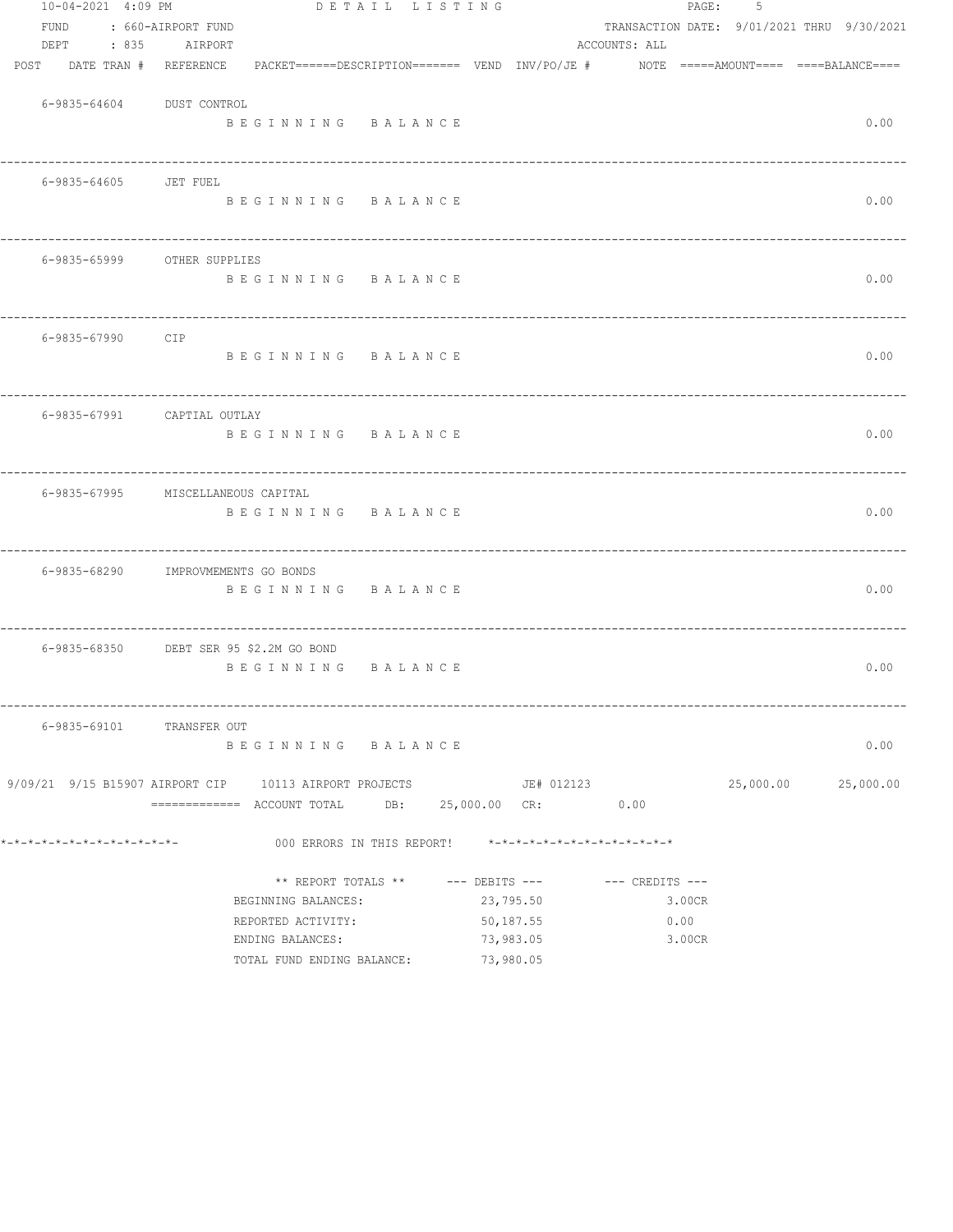| 10-04-2021 4:09 PM           | DETAIL LISTING                                                |            | PAGE:               | 5                                          |
|------------------------------|---------------------------------------------------------------|------------|---------------------|--------------------------------------------|
| <b>FUND</b>                  | : 660-AIRPORT FUND                                            |            |                     | TRANSACTION DATE: 9/01/2021 THRU 9/30/2021 |
| DEPT<br>$\therefore$ 835     | AIRPORT                                                       |            | ACCOUNTS: ALL       |                                            |
| POST DATE TRAN # REFERENCE   |                                                               |            |                     |                                            |
|                              |                                                               |            |                     |                                            |
| 6-9835-64604 DUST CONTROL    |                                                               |            |                     |                                            |
|                              | BEGINNING BALANCE                                             |            |                     | 0.00                                       |
|                              |                                                               |            |                     |                                            |
| 6-9835-64605 JET FUEL        |                                                               |            |                     |                                            |
|                              | BEGINNING BALANCE                                             |            |                     | 0.00                                       |
|                              |                                                               |            |                     |                                            |
| 6-9835-65999 OTHER SUPPLIES  |                                                               |            |                     |                                            |
|                              | BEGINNING BALANCE                                             |            |                     | 0.00                                       |
|                              |                                                               |            |                     |                                            |
| 6-9835-67990 CIP             |                                                               |            |                     |                                            |
|                              | BEGINNING BALANCE                                             |            |                     | 0.00                                       |
|                              |                                                               |            |                     |                                            |
|                              |                                                               |            |                     |                                            |
| 6-9835-67991 CAPTIAL OUTLAY  |                                                               |            |                     |                                            |
|                              | BEGINNING BALANCE                                             |            |                     | 0.00                                       |
|                              |                                                               |            |                     |                                            |
|                              | 6-9835-67995 MISCELLANEOUS CAPITAL                            |            |                     |                                            |
|                              | BEGINNING BALANCE                                             |            |                     | 0.00                                       |
|                              |                                                               |            |                     |                                            |
|                              | 6-9835-68290 IMPROVMEMENTS GO BONDS                           |            |                     |                                            |
|                              | BEGINNING BALANCE                                             |            |                     | 0.00                                       |
|                              |                                                               |            |                     |                                            |
|                              | 6-9835-68350 DEBT SER 95 \$2.2M GO BOND                       |            |                     |                                            |
|                              | BEGINNING BALANCE                                             |            |                     | 0.00                                       |
|                              |                                                               |            |                     |                                            |
|                              |                                                               |            |                     |                                            |
| 6-9835-69101 TRANSFER OUT    |                                                               |            |                     |                                            |
|                              | BEGINNING BALANCE                                             |            |                     | 0.00                                       |
|                              | 9/09/21 9/15 B15907 AIRPORT CIP 10113 AIRPORT PROJECTS        | JE# 012123 |                     | 25,000.00 25,000.00                        |
|                              | ============ ACCOUNT TOTAL DB: 25,000.00 CR: 0.00             |            |                     |                                            |
| *-*-*-*-*-*-*-*-*-*-*-*-*-*- | 000 ERRORS IN THIS REPORT! $*-*-*-*-*-*-*-*-*-*-*-*-*-*-*-**$ |            |                     |                                            |
|                              |                                                               |            |                     |                                            |
|                              | ** REPORT TOTALS ** --- DEBITS ---                            |            | $---$ CREDITS $---$ |                                            |
|                              | BEGINNING BALANCES:                                           | 23,795.50  | 3.00CR              |                                            |
|                              | REPORTED ACTIVITY:                                            | 50,187.55  | 0.00                |                                            |
|                              | ENDING BALANCES:                                              | 73,983.05  | 3.00CR              |                                            |
|                              | TOTAL FUND ENDING BALANCE:                                    | 73,980.05  |                     |                                            |